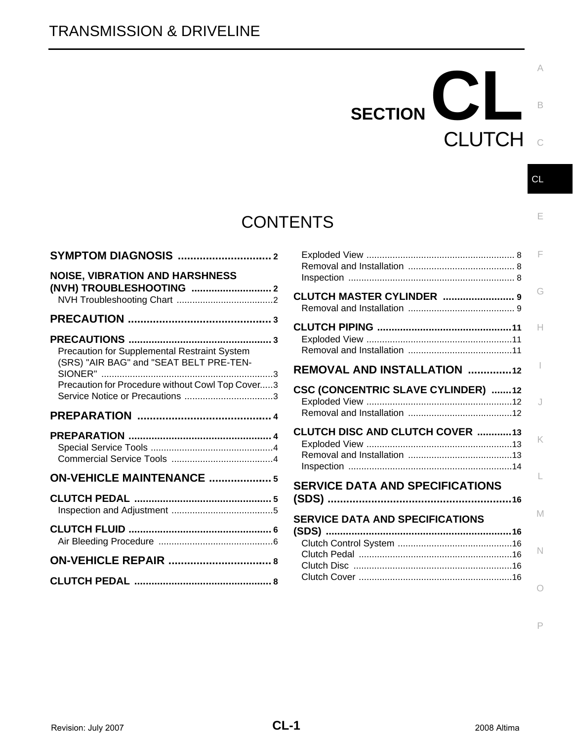# **CONTENTS**

| <b>NOISE, VIBRATION AND HARSHNESS</b>                                                                                                                                     |
|---------------------------------------------------------------------------------------------------------------------------------------------------------------------------|
|                                                                                                                                                                           |
| Precaution for Supplemental Restraint System<br>(SRS) "AIR BAG" and "SEAT BELT PRE-TEN-<br>$\overline{\phantom{a}}$ 3<br>Precaution for Procedure without Cowl Top Cover3 |
|                                                                                                                                                                           |
|                                                                                                                                                                           |
| <b>ON-VEHICLE MAINTENANCE  5</b>                                                                                                                                          |
|                                                                                                                                                                           |
|                                                                                                                                                                           |
|                                                                                                                                                                           |
|                                                                                                                                                                           |

|                                           | F      |
|-------------------------------------------|--------|
| <b>CLUTCH MASTER CYLINDER  9</b>          | G      |
|                                           | н      |
| <b>REMOVAL AND INSTALLATION 12</b>        |        |
| <b>CSC (CONCENTRIC SLAVE CYLINDER) 12</b> | J      |
| <b>CLUTCH DISC AND CLUTCH COVER 13</b>    | K      |
| <b>SERVICE DATA AND SPECIFICATIONS</b>    |        |
| <b>SERVICE DATA AND SPECIFICATIONS</b>    | M<br>N |
|                                           |        |

SECTION CLA

**CLUTCH** 

P

C

CL

B

E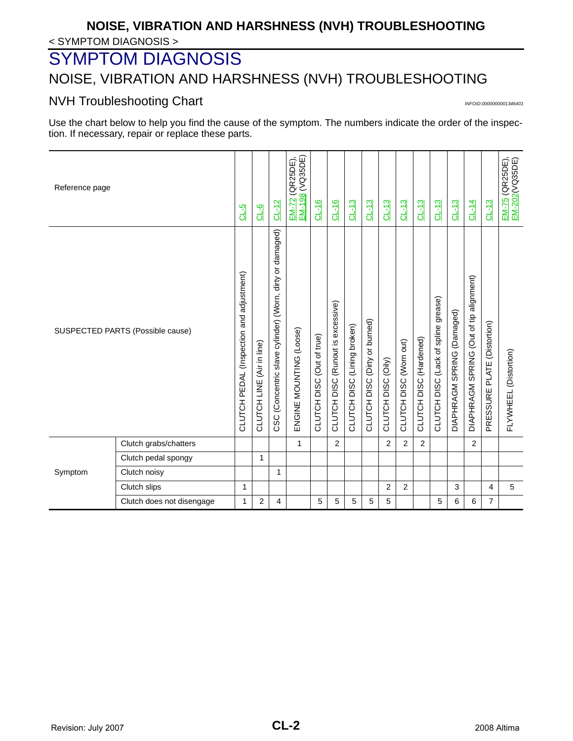## < SYMPTOM DIAGNOSIS > **NOISE, VIBRATION AND HARSHNESS (NVH) TROUBLESHOOTING**

# <span id="page-1-0"></span>SYMPTOM DIAGNOSIS

# <span id="page-1-1"></span>NOISE, VIBRATION AND HARSHNESS (NVH) TROUBLESHOOTING

## <span id="page-1-2"></span>NVH Troubleshooting Chart *INTOID:000000001346401*

Use the chart below to help you find the cause of the symptom. The numbers indicate the order of the inspection. If necessary, repair or replace these parts.

| Reference page |                                  | $GL-5$                                   | $0 - 6$                             | $CL-12$                                                  | <u>EM-72</u> (QR25DE),<br><u>EM-198</u> (VQ35DE) | $CL-16$                   | $CL-16$                           | $CL-13$                     | $CL-13$                       | $CL-13$            | $CL-13$                | $CL-13$                | $CL-13$                             | $CL-13$                    | $CL-14$                                 | $CL-13$                        | <u>EM-75</u> (QR25DE),<br><u>EM-202</u> (VQ35DE) |
|----------------|----------------------------------|------------------------------------------|-------------------------------------|----------------------------------------------------------|--------------------------------------------------|---------------------------|-----------------------------------|-----------------------------|-------------------------------|--------------------|------------------------|------------------------|-------------------------------------|----------------------------|-----------------------------------------|--------------------------------|--------------------------------------------------|
|                | SUSPECTED PARTS (Possible cause) | CLUTCH PEDAL (Inspection and adjustment) | (Air in line)<br><b>CLUTCH LINE</b> | CSC (Concentric slave cylinder) (Worn, dirty or damaged) | ENGINE MOUNTING (Loose)                          | CLUTCH DISC (Out of true) | CLUTCH DISC (Runout is excessive) | CLUTCH DISC (Lining broken) | CLUTCH DISC (Dirty or burned) | CLUTCH DISC (Oily) | CLUTCH DISC (Worn out) | CLUTCH DISC (Hardened) | CLUTCH DISC (Lack of spline grease) | DIAPHRAGM SPRING (Damaged) | DIAPHRAGM SPRING (Out of tip alignment) | PLATE (Distortion)<br>PRESSURE | FLYWHEEL (Distortion)                            |
|                | Clutch grabs/chatters            |                                          |                                     |                                                          | $\mathbf{1}$                                     |                           | $\overline{2}$                    |                             |                               | $\overline{2}$     | $\overline{2}$         | 2                      |                                     |                            | 2                                       |                                |                                                  |
|                | Clutch pedal spongy              |                                          | 1                                   |                                                          |                                                  |                           |                                   |                             |                               |                    |                        |                        |                                     |                            |                                         |                                |                                                  |
| Symptom        | Clutch noisy                     |                                          |                                     | $\mathbf{1}$                                             |                                                  |                           |                                   |                             |                               |                    |                        |                        |                                     |                            |                                         |                                |                                                  |
|                | Clutch slips                     | 1                                        |                                     |                                                          |                                                  |                           |                                   |                             |                               | 2                  | $\overline{2}$         |                        |                                     | 3                          |                                         | $\overline{4}$                 | 5                                                |
|                | Clutch does not disengage        | 1                                        | 2                                   | 4                                                        |                                                  | 5                         | 5                                 | 5                           | 5                             | 5                  |                        |                        | 5                                   | 6                          | 6                                       | $\overline{7}$                 |                                                  |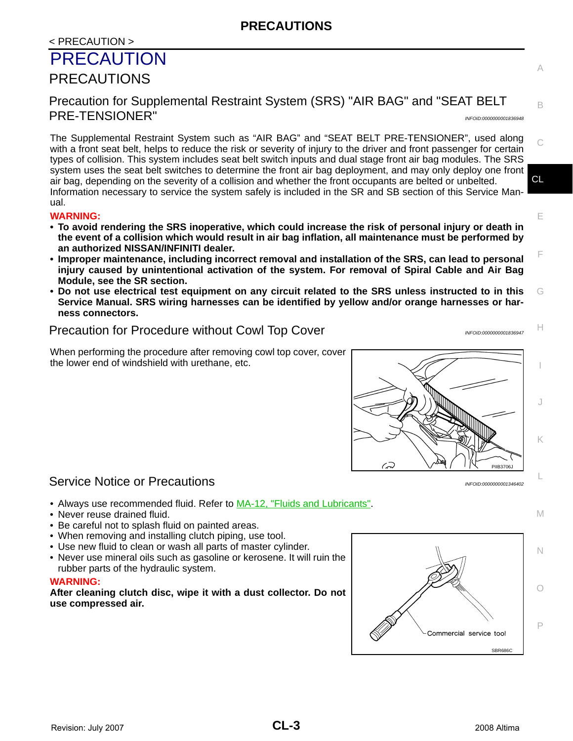## <span id="page-2-0"></span>< PRECAUTION > PRECAUTION PRECAUTIONS

<span id="page-2-2"></span><span id="page-2-1"></span>Precaution for Supplemental Restraint System (SRS) "AIR BAG" and "SEAT BELT PRE-TENSIONER" *INFOID:0000000001836948*

CL The Supplemental Restraint System such as "AIR BAG" and "SEAT BELT PRE-TENSIONER", used along with a front seat belt, helps to reduce the risk or severity of injury to the driver and front passenger for certain types of collision. This system includes seat belt switch inputs and dual stage front air bag modules. The SRS system uses the seat belt switches to determine the front air bag deployment, and may only deploy one front air bag, depending on the severity of a collision and whether the front occupants are belted or unbelted. Information necessary to service the system safely is included in the SR and SB section of this Service Manual.

## **WARNING:**

- **To avoid rendering the SRS inoperative, which could increase the risk of personal injury or death in the event of a collision which would result in air bag inflation, all maintenance must be performed by an authorized NISSAN/INFINITI dealer.**
- **Improper maintenance, including incorrect removal and installation of the SRS, can lead to personal injury caused by unintentional activation of the system. For removal of Spiral Cable and Air Bag Module, see the SR section.**
- G **• Do not use electrical test equipment on any circuit related to the SRS unless instructed to in this Service Manual. SRS wiring harnesses can be identified by yellow and/or orange harnesses or harness connectors.**

# <span id="page-2-3"></span>Precaution for Procedure without Cowl Top Cover *INFOID:0000000001836947*

When performing the procedure after removing cowl top cover, cover the lower end of windshield with urethane, etc.

# <span id="page-2-4"></span>Service Notice or Precautions *INFOID:000000001346402*

- Always use recommended fluid. Refer to MA-12, "Fluids and Lubricants".
- Never reuse drained fluid.
- Be careful not to splash fluid on painted areas.
- When removing and installing clutch piping, use tool.
- Use new fluid to clean or wash all parts of master cylinder.
- Never use mineral oils such as gasoline or kerosene. It will ruin the rubber parts of the hydraulic system.

## **WARNING:**

**After cleaning clutch disc, wipe it with a dust collector. Do not use compressed air.**



P



I K L

B

C

E

F

H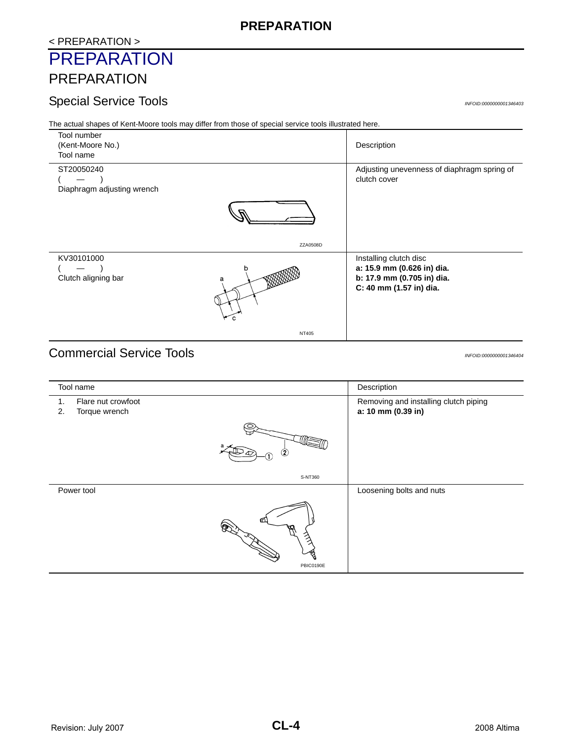## **PREPARATION**

## <span id="page-3-0"></span>< PREPARATION > **PREPARATION**

# <span id="page-3-1"></span>PREPARATION

## <span id="page-3-2"></span>Special Service Tools *INFOID:0000000001346403*

The actual shapes of Kent-Moore tools may differ from those of special service tools illustrated here.



# <span id="page-3-3"></span>Commercial Service Tools *INFOID:0000000001346404*

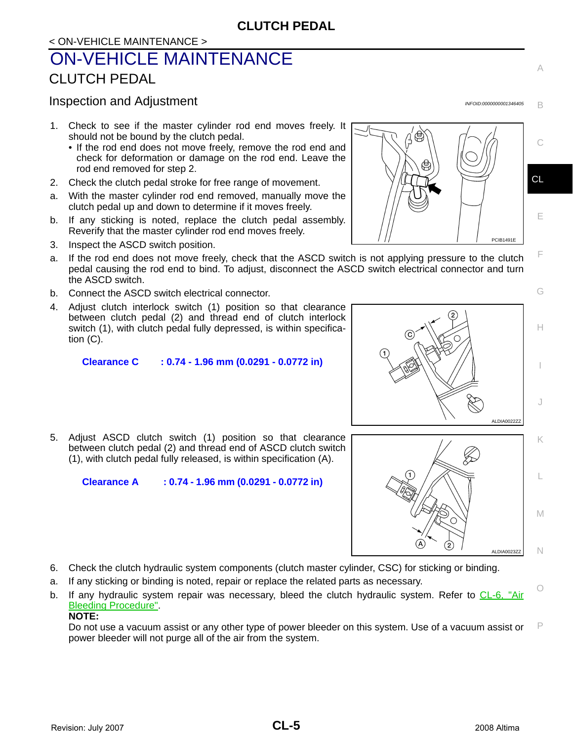# <span id="page-4-0"></span>< ON-VEHICLE MAINTENANCE > ON-VEHICLE MAINTENANCE CLUTCH PEDAL

## <span id="page-4-2"></span><span id="page-4-1"></span>Inspection and Adjustment *INFOID:0000000001346405*

- 1. Check to see if the master cylinder rod end moves freely. It should not be bound by the clutch pedal.
	- If the rod end does not move freely, remove the rod end and check for deformation or damage on the rod end. Leave the rod end removed for step 2.
- 2. Check the clutch pedal stroke for free range of movement.
- a. With the master cylinder rod end removed, manually move the clutch pedal up and down to determine if it moves freely.
- b. If any sticking is noted, replace the clutch pedal assembly. Reverify that the master cylinder rod end moves freely.
- 3. Inspect the ASCD switch position.
- a. If the rod end does not move freely, check that the ASCD switch is not applying pressure to the clutch pedal causing the rod end to bind. To adjust, disconnect the ASCD switch electrical connector and turn the ASCD switch.
- b. Connect the ASCD switch electrical connector.
- 4. Adjust clutch interlock switch (1) position so that clearance between clutch pedal (2) and thread end of clutch interlock switch (1), with clutch pedal fully depressed, is within specification (C).

**Clearance C : 0.74 - 1.96 mm (0.0291 - 0.0772 in)**

5. Adjust ASCD clutch switch (1) position so that clearance between clutch pedal (2) and thread end of ASCD clutch switch (1), with clutch pedal fully released, is within specification (A).

**Clearance A : 0.74 - 1.96 mm (0.0291 - 0.0772 in)**

- 6. Check the clutch hydraulic system components (clutch master cylinder, CSC) for sticking or binding.
- a. If any sticking or binding is noted, repair or replace the related parts as necessary.
- b. If any hydraulic system repair was necessary, bleed the clutch hydraulic system. Refer to [CL-6, "Air](#page-5-1) [Bleeding Procedure".](#page-5-1) **NOTE:**

P Do not use a vacuum assist or any other type of power bleeder on this system. Use of a vacuum assist or power bleeder will not purge all of the air from the system.





A

B

E

F

G



I

J

O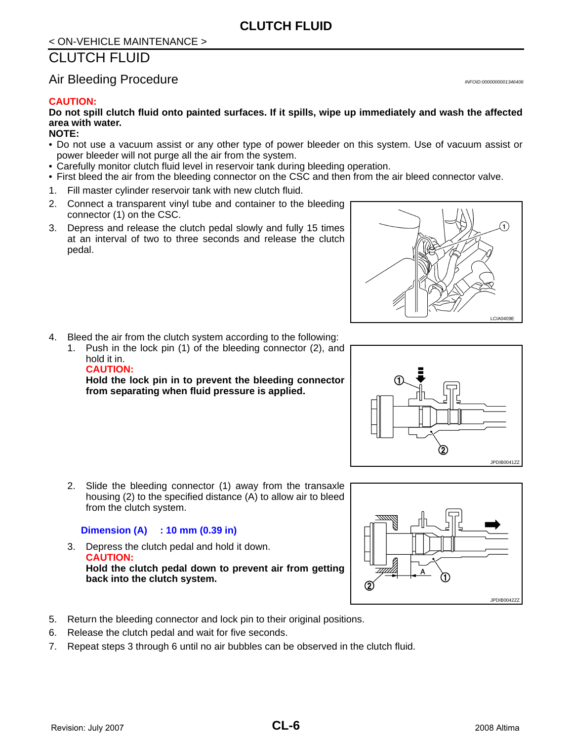# < ON-VEHICLE MAINTENANCE >

# <span id="page-5-0"></span>CLUTCH FLUID

## <span id="page-5-1"></span>Air Bleeding Procedure *INFOID:000000001346406*

#### **CAUTION:**

**Do not spill clutch fluid onto painted surfaces. If it spills, wipe up immediately and wash the affected area with water.**

#### **NOTE:**

- Do not use a vacuum assist or any other type of power bleeder on this system. Use of vacuum assist or power bleeder will not purge all the air from the system.
- Carefully monitor clutch fluid level in reservoir tank during bleeding operation.
- First bleed the air from the bleeding connector on the CSC and then from the air bleed connector valve.
- 1. Fill master cylinder reservoir tank with new clutch fluid.
- 2. Connect a transparent vinyl tube and container to the bleeding connector (1) on the CSC.
- 3. Depress and release the clutch pedal slowly and fully 15 times at an interval of two to three seconds and release the clutch pedal.



- 4. Bleed the air from the clutch system according to the following:
	- 1. Push in the lock pin (1) of the bleeding connector (2), and hold it in. **CAUTION:**

**Hold the lock pin in to prevent the bleeding connector from separating when fluid pressure is applied.**





2. Slide the bleeding connector (1) away from the transaxle housing (2) to the specified distance (A) to allow air to bleed from the clutch system.

#### **Dimension (A) : 10 mm (0.39 in)**

- 3. Depress the clutch pedal and hold it down. **CAUTION: Hold the clutch pedal down to prevent air from getting back into the clutch system.**
- 5. Return the bleeding connector and lock pin to their original positions.
- 6. Release the clutch pedal and wait for five seconds.
- 7. Repeat steps 3 through 6 until no air bubbles can be observed in the clutch fluid.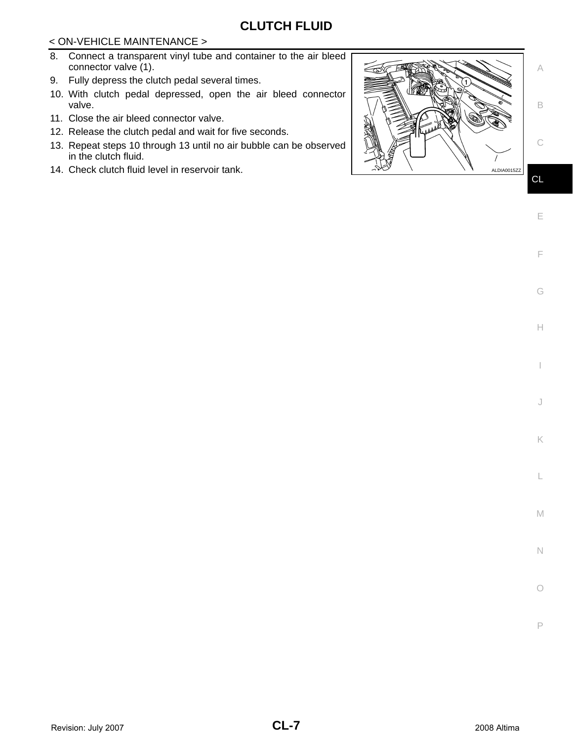## **CLUTCH FLUID**

### < ON-VEHICLE MAINTENANCE >

- 8. Connect a transparent vinyl tube and container to the air bleed connector valve (1).
- 9. Fully depress the clutch pedal several times.
- 10. With clutch pedal depressed, open the air bleed connector valve.
- 11. Close the air bleed connector valve.
- 12. Release the clutch pedal and wait for five seconds.
- 13. Repeat steps 10 through 13 until no air bubble can be observed in the clutch fluid.
- ALDIA0015ZZ



H

I

J

E

C

L

M

N

 $\circ$ 

P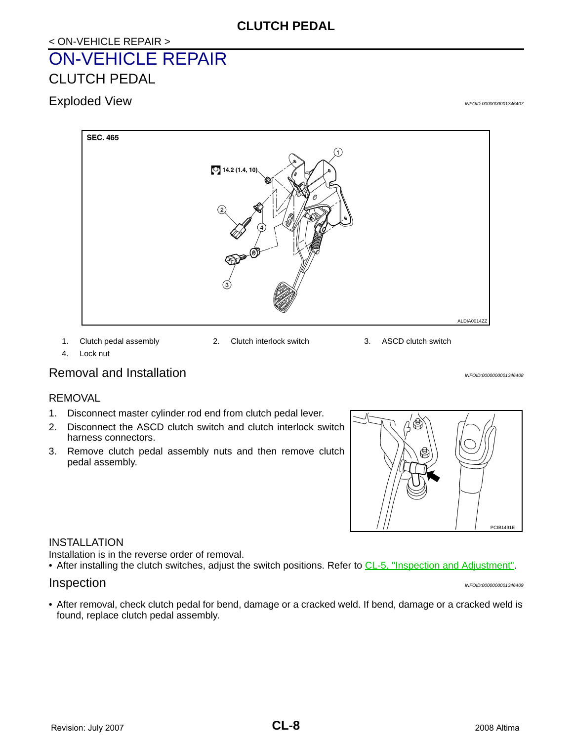## **CLUTCH PEDAL**

# <span id="page-7-0"></span>< ON-VEHICLE REPAIR > ON-VEHICLE REPAIR CLUTCH PEDAL

<span id="page-7-2"></span><span id="page-7-1"></span>Exploded View *INFOID:0000000001346407*



1. Clutch pedal assembly 2. Clutch interlock switch 3. ASCD clutch switch

4. Lock nut

## <span id="page-7-3"></span>Removal and Installation *Installation INFOID:000000001346408*

#### REMOVAL

- 1. Disconnect master cylinder rod end from clutch pedal lever.
- 2. Disconnect the ASCD clutch switch and clutch interlock switch harness connectors.
- 3. Remove clutch pedal assembly nuts and then remove clutch pedal assembly.



#### INSTALLATION

Installation is in the reverse order of removal.

• After installing the clutch switches, adjust the switch positions. Refer to [CL-5, "Inspection and Adjustment".](#page-4-2)

#### <span id="page-7-4"></span>Inspection *INFOID:0000000001346409*

• After removal, check clutch pedal for bend, damage or a cracked weld. If bend, damage or a cracked weld is found, replace clutch pedal assembly.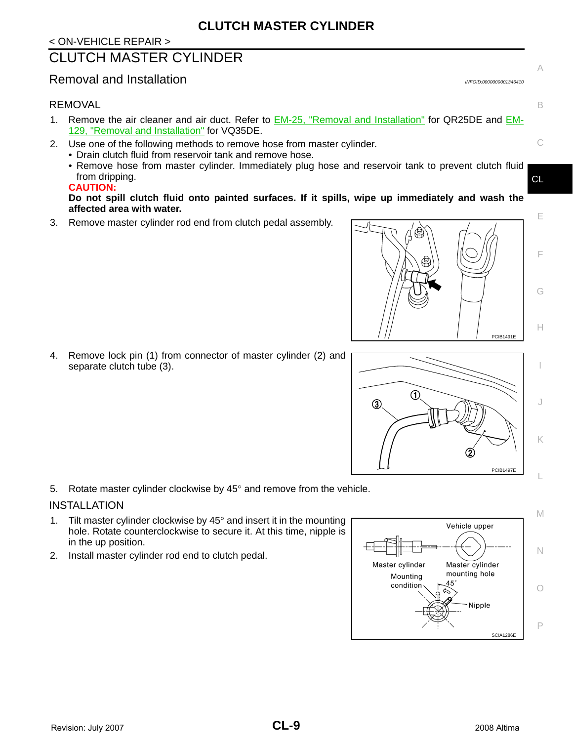## <span id="page-8-0"></span>CLUTCH MASTER CYLINDER

## <span id="page-8-1"></span>Removal and Installation *Installation Installation Installation INFOID:0000000001346410*

#### REMOVAL

- 1. Remove the air cleaner and air duct. Refer to **EM-25**, "Removal and Installation" for QR25DE and **EM-**129, "Removal and Installation" for VQ35DE.
- 2. Use one of the following methods to remove hose from master cylinder.
	- Drain clutch fluid from reservoir tank and remove hose.
	- Remove hose from master cylinder. Immediately plug hose and reservoir tank to prevent clutch fluid from dripping.

#### **CAUTION:**

**Do not spill clutch fluid onto painted surfaces. If it spills, wipe up immediately and wash the affected area with water.**

3. Remove master cylinder rod end from clutch pedal assembly.

4. Remove lock pin (1) from connector of master cylinder (2) and separate clutch tube (3).

5. Rotate master cylinder clockwise by  $45^\circ$  and remove from the vehicle.

#### INSTALLATION

- 1. Tilt master cylinder clockwise by  $45^\circ$  and insert it in the mounting hole. Rotate counterclockwise to secure it. At this time, nipple is in the up position.
- 2. Install master cylinder rod end to clutch pedal.







A

B

C

CL

E

F

G

H

I

J

K

 $\overline{L}$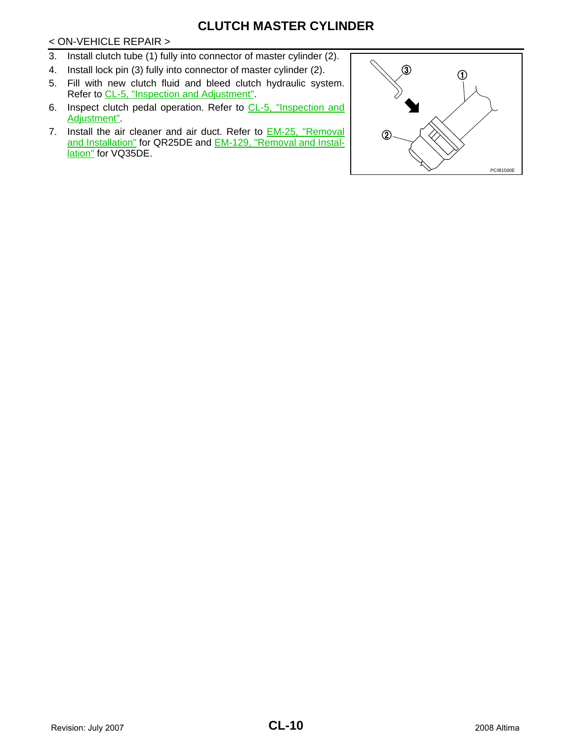## **CLUTCH MASTER CYLINDER**

#### < ON-VEHICLE REPAIR >

- 3. Install clutch tube (1) fully into connector of master cylinder (2).
- 4. Install lock pin (3) fully into connector of master cylinder (2).
- 5. Fill with new clutch fluid and bleed clutch hydraulic system. Refer to [CL-5, "Inspection and Adjustment"](#page-4-2).
- 6. Inspect clutch pedal operation. Refer to [CL-5, "Inspection and](#page-4-2) [Adjustment"](#page-4-2).
- 7. Install the air cleaner and air duct. Refer to **EM-25**, "Removal and Installation" for QR25DE and EM-129, "Removal and Installation" for VQ35DE.

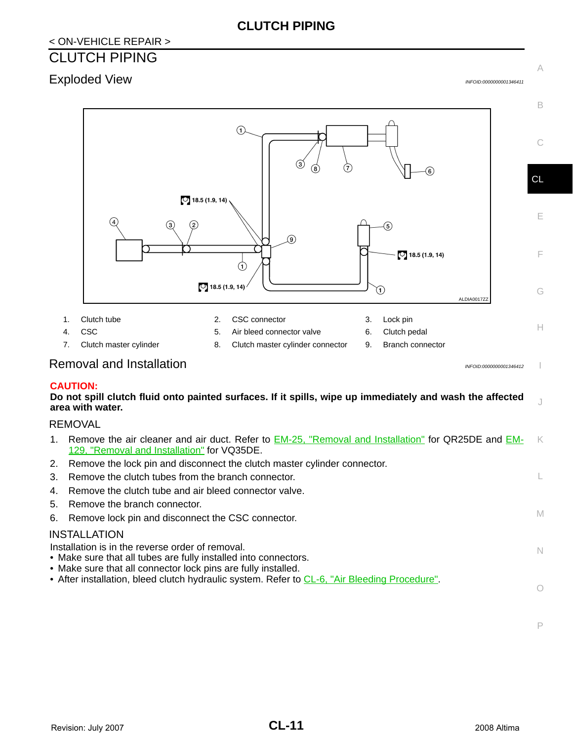## <span id="page-10-0"></span>< ON-VEHICLE REPAIR > CLUTCH PIPING

# <span id="page-10-1"></span>Exploded View *INFOID:0000000001346411*

A



#### <span id="page-10-2"></span>**CAUTION:**

**Do not spill clutch fluid onto painted surfaces. If it spills, wipe up immediately and wash the affected area with water.**

## REMOVAL

| 1. Remove the air cleaner and air duct. Refer to <b>EM-25</b> , "Removal and Installation" for QR25DE and <b>EM-</b><br>129. "Removal and Installation" for VQ35DE.                  | K  |
|--------------------------------------------------------------------------------------------------------------------------------------------------------------------------------------|----|
| 2. Remove the lock pin and disconnect the clutch master cylinder connector.                                                                                                          |    |
| 3. Remove the clutch tubes from the branch connector.                                                                                                                                |    |
| 4. Remove the clutch tube and air bleed connector valve.                                                                                                                             |    |
| 5. Remove the branch connector.                                                                                                                                                      |    |
| 6. Remove lock pin and disconnect the CSC connector.                                                                                                                                 | M  |
| INSTALLATION                                                                                                                                                                         |    |
| Installation is in the reverse order of removal.<br>• Make sure that all tubes are fully installed into connectors.<br>• Make sure that all connector lock pins are fully installed. | N. |
| • After installation, bleed clutch hydraulic system. Refer to CL-6, "Air Bleeding Procedure".                                                                                        |    |

J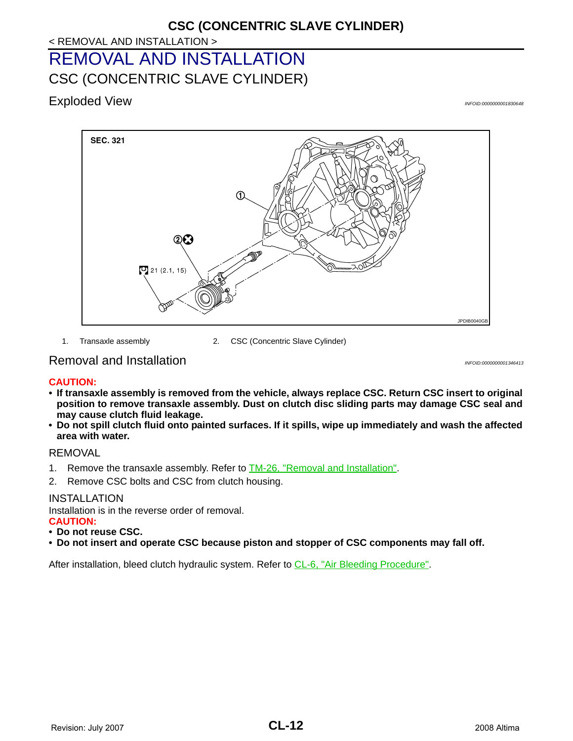# <span id="page-11-0"></span>< REMOVAL AND INSTALLATION > **CSC (CONCENTRIC SLAVE CYLINDER)** REMOVAL AND INSTALLATION CSC (CONCENTRIC SLAVE CYLINDER)

<span id="page-11-2"></span><span id="page-11-1"></span>Exploded View *INFOID:0000000001830648*



1. Transaxle assembly 2. CSC (Concentric Slave Cylinder)

## <span id="page-11-3"></span>Removal and Installation **Installation** *INFOID:000000001346413*

#### **CAUTION:**

- **If transaxle assembly is removed from the vehicle, always replace CSC. Return CSC insert to original position to remove transaxle assembly. Dust on clutch disc sliding parts may damage CSC seal and may cause clutch fluid leakage.**
- **Do not spill clutch fluid onto painted surfaces. If it spills, wipe up immediately and wash the affected area with water.**

#### REMOVAL

- 1. Remove the transaxle assembly. Refer to **TM-26**, "Removal and Installation".
- 2. Remove CSC bolts and CSC from clutch housing.

#### INSTALLATION

Installation is in the reverse order of removal.

- **CAUTION:**
- **Do not reuse CSC.**
- **Do not insert and operate CSC because piston and stopper of CSC components may fall off.**

After installation, bleed clutch hydraulic system. Refer to [CL-6, "Air Bleeding Procedure"](#page-5-1).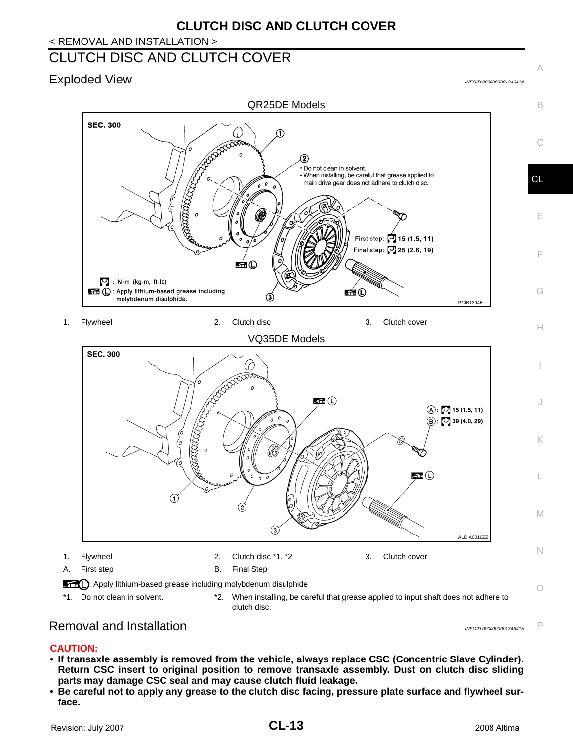## < REMOVAL AND INSTALLATION >

# <span id="page-12-0"></span>CLUTCH DISC AND CLUTCH COVER

# <span id="page-12-1"></span>Exploded View *INFOID:0000000001346414*

A





## <span id="page-12-2"></span>Removal and Installation *Installation INFOID:0000000001346415*

P

#### **CAUTION:**

- **If transaxle assembly is removed from the vehicle, always replace CSC (Concentric Slave Cylinder). Return CSC insert to original position to remove transaxle assembly. Dust on clutch disc sliding parts may damage CSC seal and may cause clutch fluid leakage.**
- **Be careful not to apply any grease to the clutch disc facing, pressure plate surface and flywheel surface.**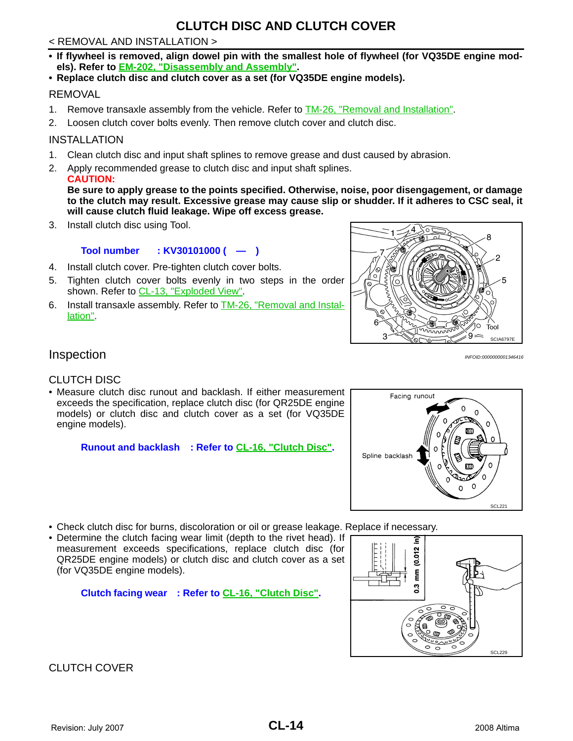## **CLUTCH DISC AND CLUTCH COVER**

#### < REMOVAL AND INSTALLATION >

- **If flywheel is removed, align dowel pin with the smallest hole of flywheel (for VQ35DE engine models). Refer to EM-202, "Disassembly and Assembly".**
- **Replace clutch disc and clutch cover as a set (for VQ35DE engine models).**

#### REMOVAL

- 1. Remove transaxle assembly from the vehicle. Refer to **TM-26, "Removal and Installation"**.
- 2. Loosen clutch cover bolts evenly. Then remove clutch cover and clutch disc.

#### INSTALLATION

- 1. Clean clutch disc and input shaft splines to remove grease and dust caused by abrasion.
- 2. Apply recommended grease to clutch disc and input shaft splines. **CAUTION:**

**Be sure to apply grease to the points specified. Otherwise, noise, poor disengagement, or damage to the clutch may result. Excessive grease may cause slip or shudder. If it adheres to CSC seal, it will cause clutch fluid leakage. Wipe off excess grease.**

3. Install clutch disc using Tool.

#### **Tool number : KV30101000 ( — )**

- 4. Install clutch cover. Pre-tighten clutch cover bolts.
- 5. Tighten clutch cover bolts evenly in two steps in the order shown. Refer to [CL-13, "Exploded View"](#page-12-1).
- 6. Install transaxle assembly. Refer to TM-26, "Removal and Installation".



## <span id="page-13-0"></span>Inspection *INFOID:0000000001346416*

#### CLUTCH DISC

• Measure clutch disc runout and backlash. If either measurement exceeds the specification, replace clutch disc (for QR25DE engine models) or clutch disc and clutch cover as a set (for VQ35DE engine models).

**Runout and backlash : Refer to [CL-16, "Clutch Disc".](#page-15-4)**



- Check clutch disc for burns, discoloration or oil or grease leakage. Replace if necessary.
- Determine the clutch facing wear limit (depth to the rivet head). If measurement exceeds specifications, replace clutch disc (for QR25DE engine models) or clutch disc and clutch cover as a set (for VQ35DE engine models).

**Clutch facing wear : Refer to [CL-16, "Clutch Disc"](#page-15-4).**



## CLUTCH COVER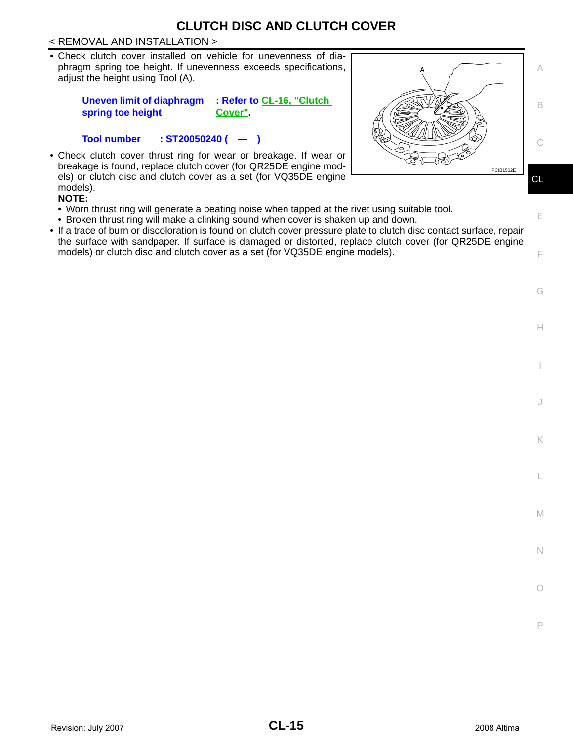## **CLUTCH DISC AND CLUTCH COVER**

#### < REMOVAL AND INSTALLATION >

• Check clutch cover installed on vehicle for unevenness of diaphragm spring toe height. If unevenness exceeds specifications, adjust the height using Tool (A).

> **Uneven limit of diaphragm spring toe height : Refer to [CL-16, "Clutch](#page-15-5)  [Cover"](#page-15-5).**

**Tool number : ST20050240 ( — )**

• Check clutch cover thrust ring for wear or breakage. If wear or breakage is found, replace clutch cover (for QR25DE engine models) or clutch disc and clutch cover as a set (for VQ35DE engine models).

**NOTE:**

- Worn thrust ring will generate a beating noise when tapped at the rivet using suitable tool.
- Broken thrust ring will make a clinking sound when cover is shaken up and down.
- If a trace of burn or discoloration is found on clutch cover pressure plate to clutch disc contact surface, repair the surface with sandpaper. If surface is damaged or distorted, replace clutch cover (for QR25DE engine models) or clutch disc and clutch cover as a set (for VQ35DE engine models).



H

I

J

K

L

M

N

O

P

E

F